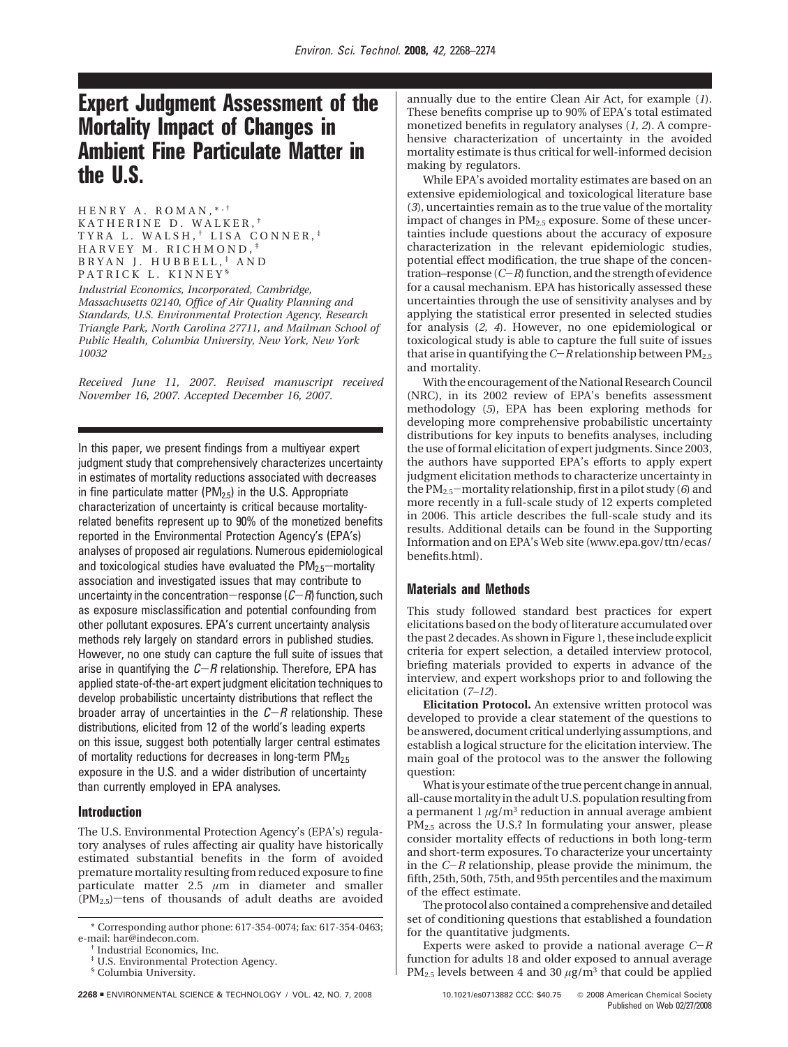# **Expert Judgment Assessment of the Mortality Impact of Changes in Ambient Fine Particulate Matter in the U.S.**

HENRY A. ROMAN,\* , † KATHERINE D. WALKER, † TYRA L. WALSH, † LISA CONNER, ‡ HARVEY M. RICHMOND, ‡ BRYAN J. HUBBELL, ‡ AND PATRICK L. KINNEY<sup>\$</sup>

*Industrial Economics, Incorporated, Cambridge, Massachusetts 02140, Office of Air Quality Planning and Standards, U.S. Environmental Protection Agency, Research Triangle Park, North Carolina 27711, and Mailman School of Public Health, Columbia University, New York, New York 10032*

*Received June 11, 2007. Revised manuscript received November 16, 2007. Accepted December 16, 2007.*

In this paper, we present findings from a multiyear expert judgment study that comprehensively characterizes uncertainty in estimates of mortality reductions associated with decreases in fine particulate matter ( $PM<sub>2.5</sub>$ ) in the U.S. Appropriate characterization of uncertainty is critical because mortalityrelated benefits represent up to 90% of the monetized benefits reported in the Environmental Protection Agency's (EPA's) analyses of proposed air regulations. Numerous epidemiological and toxicological studies have evaluated the  $PM_{2.5}$ -mortality association and investigated issues that may contribute to uncertainty in the concentration-response  $(C-R)$  function, such as exposure misclassification and potential confounding from other pollutant exposures. EPA's current uncertainty analysis methods rely largely on standard errors in published studies. However, no one study can capture the full suite of issues that arise in quantifying the  $C-R$  relationship. Therefore, EPA has applied state-of-the-art expert judgment elicitation techniques to develop probabilistic uncertainty distributions that reflect the broader array of uncertainties in the  $C-R$  relationship. These distributions, elicited from 12 of the world's leading experts on this issue, suggest both potentially larger central estimates of mortality reductions for decreases in long-term PM<sub>2.5</sub> exposure in the U.S. and a wider distribution of uncertainty than currently employed in EPA analyses.

# **Introduction**

The U.S. Environmental Protection Agency's (EPA's) regulatory analyses of rules affecting air quality have historically estimated substantial benefits in the form of avoided premature mortality resulting from reduced exposure to fine particulate matter 2.5  $\mu$ m in diameter and smaller  $(PM<sub>2.5</sub>)$  tens of thousands of adult deaths are avoided

annually due to the entire Clean Air Act, for example (*1*). These benefits comprise up to 90% of EPA's total estimated monetized benefits in regulatory analyses (*1, 2*). A comprehensive characterization of uncertainty in the avoided mortality estimate is thus critical for well-informed decision making by regulators.

While EPA's avoided mortality estimates are based on an extensive epidemiological and toxicological literature base (*3*), uncertainties remain as to the true value of the mortality impact of changes in PM<sub>2.5</sub> exposure. Some of these uncertainties include questions about the accuracy of exposure characterization in the relevant epidemiologic studies, potential effect modification, the true shape of the concentration–response (*C*-*R*) function, and the strength of evidence for a causal mechanism. EPA has historically assessed these uncertainties through the use of sensitivity analyses and by applying the statistical error presented in selected studies for analysis (*2, 4*). However, no one epidemiological or toxicological study is able to capture the full suite of issues that arise in quantifying the  $C - R$  relationship between  $PM_{2.5}$ and mortality.

With the encouragement of the National Research Council (NRC), in its 2002 review of EPA's benefits assessment methodology (*5*), EPA has been exploring methods for developing more comprehensive probabilistic uncertainty distributions for key inputs to benefits analyses, including the use of formal elicitation of expert judgments. Since 2003, the authors have supported EPA's efforts to apply expert judgment elicitation methods to characterize uncertainty in the PM2.5-mortality relationship, first in a pilot study (*6*) and more recently in a full-scale study of 12 experts completed in 2006. This article describes the full-scale study and its results. Additional details can be found in the Supporting Information and on EPA's Web site (www.epa.gov/ttn/ecas/ benefits.html).

# **Materials and Methods**

This study followed standard best practices for expert elicitations based on the body of literature accumulated over the past 2 decades. As shown in Figure 1, these include explicit criteria for expert selection, a detailed interview protocol, briefing materials provided to experts in advance of the interview, and expert workshops prior to and following the elicitation (*7–12*).

**Elicitation Protocol.** An extensive written protocol was developed to provide a clear statement of the questions to be answered, document critical underlying assumptions, and establish a logical structure for the elicitation interview. The main goal of the protocol was to the answer the following question:

What is your estimate of the true percent change in annual, all-cause mortality in the adult U.S. population resulting from a permanent  $1 \mu g/m^3$  reduction in annual average ambient PM2.5 across the U.S.? In formulating your answer, please consider mortality effects of reductions in both long-term and short-term exposures. To characterize your uncertainty in the *<sup>C</sup>*-*<sup>R</sup>* relationship, please provide the minimum, the fifth, 25th, 50th, 75th, and 95th percentiles and the maximum of the effect estimate.

The protocol also contained a comprehensive and detailed set of conditioning questions that established a foundation for the quantitative judgments.

Experts were asked to provide a national average *<sup>C</sup>*-*<sup>R</sup>* function for adults 18 and older exposed to annual average PM<sub>2.5</sub> levels between 4 and 30  $\mu$ g/m<sup>3</sup> that could be applied

 $^\ast$  Corresponding author phone: 617-354-0074; fax: 617-354-0463; e-mail: har@indecon.com.

Industrial Economics, Inc.

U.S. Environmental Protection Agency.

<sup>§</sup> Columbia University.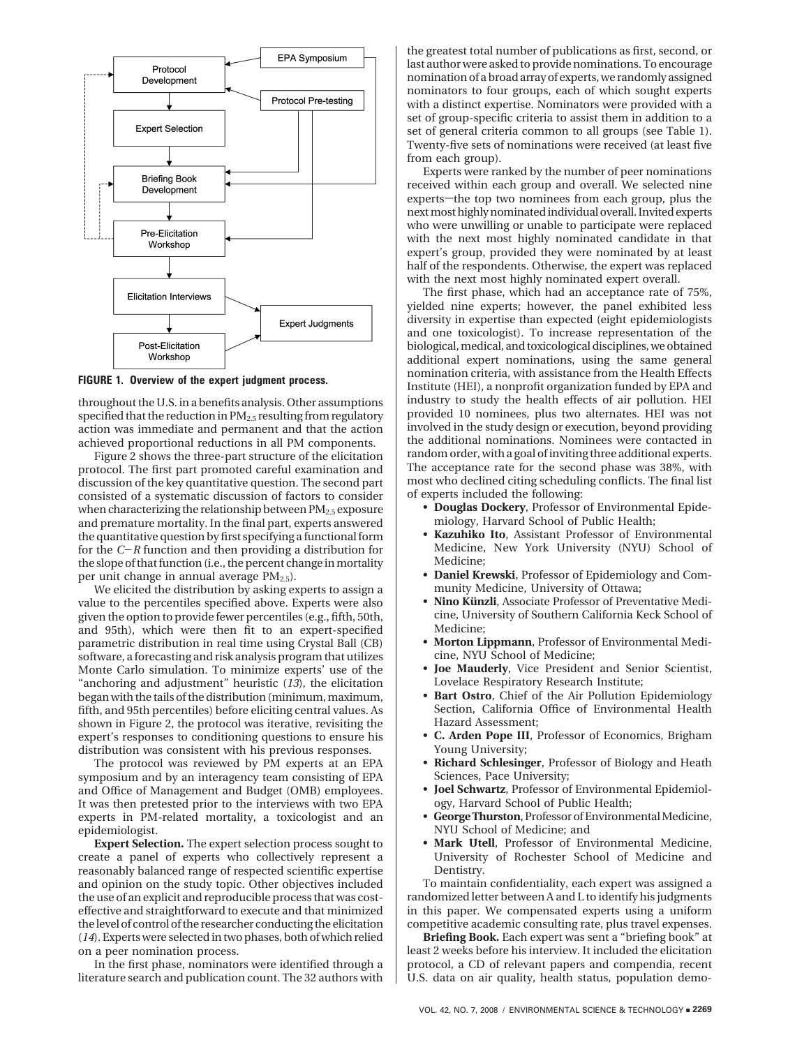

**FIGURE 1. Overview of the expert judgment process.**

throughout the U.S. in a benefits analysis. Other assumptions specified that the reduction in PM2.5 resulting from regulatory action was immediate and permanent and that the action achieved proportional reductions in all PM components.

Figure 2 shows the three-part structure of the elicitation protocol. The first part promoted careful examination and discussion of the key quantitative question. The second part consisted of a systematic discussion of factors to consider when characterizing the relationship between  $PM_{2.5}$  exposure and premature mortality. In the final part, experts answered the quantitative question by first specifying a functional form for the *<sup>C</sup>*-*<sup>R</sup>* function and then providing a distribution for the slope of that function (i.e., the percent change in mortality per unit change in annual average  $PM_{2.5}$ .

We elicited the distribution by asking experts to assign a value to the percentiles specified above. Experts were also given the option to provide fewer percentiles (e.g., fifth, 50th, and 95th), which were then fit to an expert-specified parametric distribution in real time using Crystal Ball (CB) software, a forecasting and risk analysis program that utilizes Monte Carlo simulation. To minimize experts' use of the "anchoring and adjustment" heuristic (*13*), the elicitation began with the tails of the distribution (minimum, maximum, fifth, and 95th percentiles) before eliciting central values. As shown in Figure 2, the protocol was iterative, revisiting the expert's responses to conditioning questions to ensure his distribution was consistent with his previous responses.

The protocol was reviewed by PM experts at an EPA symposium and by an interagency team consisting of EPA and Office of Management and Budget (OMB) employees. It was then pretested prior to the interviews with two EPA experts in PM-related mortality, a toxicologist and an epidemiologist.

**Expert Selection.** The expert selection process sought to create a panel of experts who collectively represent a reasonably balanced range of respected scientific expertise and opinion on the study topic. Other objectives included the use of an explicit and reproducible process that was costeffective and straightforward to execute and that minimized the level of control of the researcher conducting the elicitation (*14*). Experts were selected in two phases, both of which relied on a peer nomination process.

In the first phase, nominators were identified through a literature search and publication count. The 32 authors with

the greatest total number of publications as first, second, or last author were asked to provide nominations. To encourage nomination of a broad array of experts, we randomly assigned nominators to four groups, each of which sought experts with a distinct expertise. Nominators were provided with a set of group-specific criteria to assist them in addition to a set of general criteria common to all groups (see Table 1). Twenty-five sets of nominations were received (at least five from each group).

Experts were ranked by the number of peer nominations received within each group and overall. We selected nine experts-the top two nominees from each group, plus the next most highly nominated individual overall. Invited experts who were unwilling or unable to participate were replaced with the next most highly nominated candidate in that expert's group, provided they were nominated by at least half of the respondents. Otherwise, the expert was replaced with the next most highly nominated expert overall.

The first phase, which had an acceptance rate of 75%, yielded nine experts; however, the panel exhibited less diversity in expertise than expected (eight epidemiologists and one toxicologist). To increase representation of the biological, medical, and toxicological disciplines, we obtained additional expert nominations, using the same general nomination criteria, with assistance from the Health Effects Institute (HEI), a nonprofit organization funded by EPA and industry to study the health effects of air pollution. HEI provided 10 nominees, plus two alternates. HEI was not involved in the study design or execution, beyond providing the additional nominations. Nominees were contacted in random order, with a goal of inviting three additional experts. The acceptance rate for the second phase was 38%, with most who declined citing scheduling conflicts. The final list of experts included the following:

- **Douglas Dockery**, Professor of Environmental Epidemiology, Harvard School of Public Health;
- **Kazuhiko Ito**, Assistant Professor of Environmental Medicine, New York University (NYU) School of Medicine;
- **Daniel Krewski**, Professor of Epidemiology and Community Medicine, University of Ottawa;
- **Nino Künzli**, Associate Professor of Preventative Medicine, University of Southern California Keck School of Medicine;
- **Morton Lippmann**, Professor of Environmental Medicine, NYU School of Medicine;
- **Joe Mauderly**, Vice President and Senior Scientist, Lovelace Respiratory Research Institute;
- **Bart Ostro**, Chief of the Air Pollution Epidemiology Section, California Office of Environmental Health Hazard Assessment;
- **C. Arden Pope III**, Professor of Economics, Brigham Young University;
- **Richard Schlesinger**, Professor of Biology and Heath Sciences, Pace University;
- **Joel Schwartz**, Professor of Environmental Epidemiology, Harvard School of Public Health;
- **George Thurston**, Professor of Environmental Medicine, NYU School of Medicine; and
- **Mark Utell**, Professor of Environmental Medicine, University of Rochester School of Medicine and Dentistry.

To maintain confidentiality, each expert was assigned a randomized letter between A and L to identify his judgments in this paper. We compensated experts using a uniform competitive academic consulting rate, plus travel expenses.

**Briefing Book.** Each expert was sent a "briefing book" at least 2 weeks before his interview. It included the elicitation protocol, a CD of relevant papers and compendia, recent U.S. data on air quality, health status, population demo-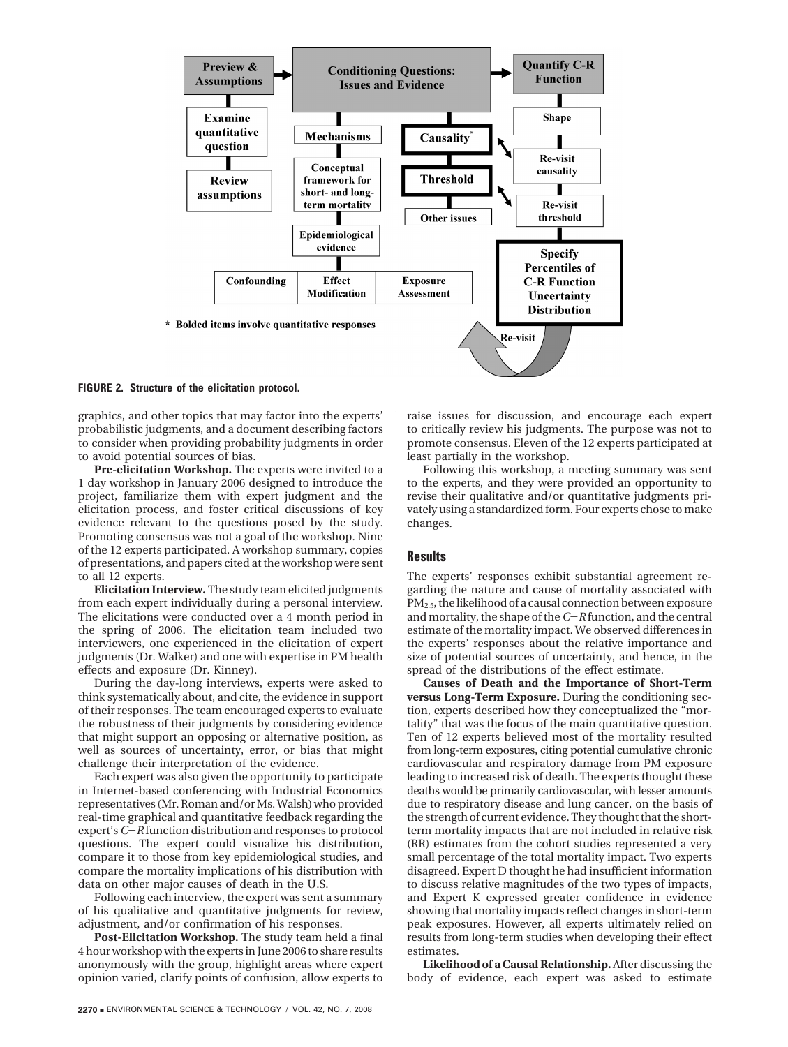

## **FIGURE 2. Structure of the elicitation protocol.**

graphics, and other topics that may factor into the experts' probabilistic judgments, and a document describing factors to consider when providing probability judgments in order to avoid potential sources of bias.

**Pre-elicitation Workshop.** The experts were invited to a 1 day workshop in January 2006 designed to introduce the project, familiarize them with expert judgment and the elicitation process, and foster critical discussions of key evidence relevant to the questions posed by the study. Promoting consensus was not a goal of the workshop. Nine of the 12 experts participated. A workshop summary, copies of presentations, and papers cited at the workshop were sent to all 12 experts.

**Elicitation Interview.** The study team elicited judgments from each expert individually during a personal interview. The elicitations were conducted over a 4 month period in the spring of 2006. The elicitation team included two interviewers, one experienced in the elicitation of expert judgments (Dr. Walker) and one with expertise in PM health effects and exposure (Dr. Kinney).

During the day-long interviews, experts were asked to think systematically about, and cite, the evidence in support of their responses. The team encouraged experts to evaluate the robustness of their judgments by considering evidence that might support an opposing or alternative position, as well as sources of uncertainty, error, or bias that might challenge their interpretation of the evidence.

Each expert was also given the opportunity to participate in Internet-based conferencing with Industrial Economics representatives (Mr. Roman and/or Ms. Walsh) who provided real-time graphical and quantitative feedback regarding the expert's*C*-*R*function distribution and responses to protocol questions. The expert could visualize his distribution, compare it to those from key epidemiological studies, and compare the mortality implications of his distribution with data on other major causes of death in the U.S.

Following each interview, the expert was sent a summary of his qualitative and quantitative judgments for review, adjustment, and/or confirmation of his responses.

**Post-Elicitation Workshop.** The study team held a final 4 hour workshop with the experts in June 2006 to share results anonymously with the group, highlight areas where expert opinion varied, clarify points of confusion, allow experts to raise issues for discussion, and encourage each expert to critically review his judgments. The purpose was not to promote consensus. Eleven of the 12 experts participated at least partially in the workshop.

Following this workshop, a meeting summary was sent to the experts, and they were provided an opportunity to revise their qualitative and/or quantitative judgments privately using a standardized form. Four experts chose to make changes.

# **Results**

The experts' responses exhibit substantial agreement regarding the nature and cause of mortality associated with PM2.5, the likelihood of a causal connection between exposure and mortality, the shape of the*C*-*<sup>R</sup>* function, and the central estimate of the mortality impact. We observed differences in the experts' responses about the relative importance and size of potential sources of uncertainty, and hence, in the spread of the distributions of the effect estimate.

**Causes of Death and the Importance of Short-Term versus Long-Term Exposure.** During the conditioning section, experts described how they conceptualized the "mortality" that was the focus of the main quantitative question. Ten of 12 experts believed most of the mortality resulted from long-term exposures, citing potential cumulative chronic cardiovascular and respiratory damage from PM exposure leading to increased risk of death. The experts thought these deaths would be primarily cardiovascular, with lesser amounts due to respiratory disease and lung cancer, on the basis of the strength of current evidence. They thought that the shortterm mortality impacts that are not included in relative risk (RR) estimates from the cohort studies represented a very small percentage of the total mortality impact. Two experts disagreed. Expert D thought he had insufficient information to discuss relative magnitudes of the two types of impacts, and Expert K expressed greater confidence in evidence showing that mortality impacts reflect changes in short-term peak exposures. However, all experts ultimately relied on results from long-term studies when developing their effect estimates.

**Likelihood of a Causal Relationship.** After discussing the body of evidence, each expert was asked to estimate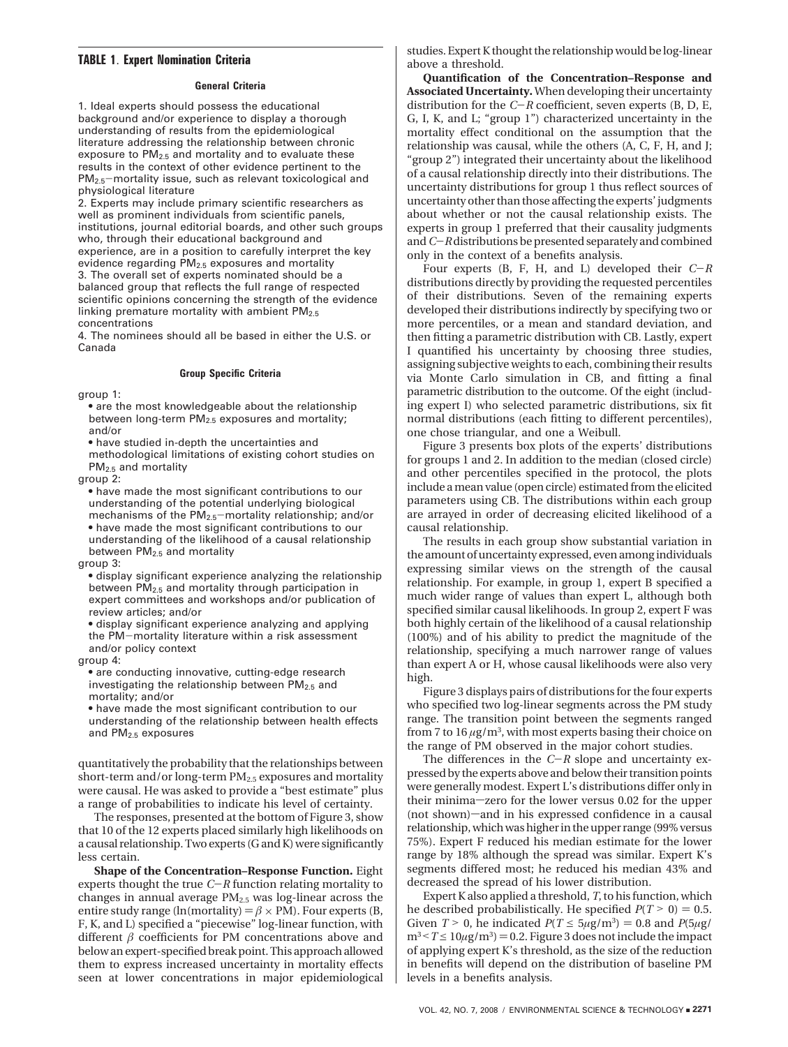## **TABLE 1**. **Expert Nomination Criteria**

#### **General Criteria**

1. Ideal experts should possess the educational background and/or experience to display a thorough understanding of results from the epidemiological literature addressing the relationship between chronic exposure to  $PM<sub>2.5</sub>$  and mortality and to evaluate these results in the context of other evidence pertinent to the PM<sub>2.5</sub>-mortality issue, such as relevant toxicological and physiological literature

2. Experts may include primary scientific researchers as well as prominent individuals from scientific panels, institutions, journal editorial boards, and other such groups who, through their educational background and experience, are in a position to carefully interpret the key evidence regarding PM<sub>2.5</sub> exposures and mortality 3. The overall set of experts nominated should be a balanced group that reflects the full range of respected scientific opinions concerning the strength of the evidence linking premature mortality with ambient  $PM_{2.5}$ concentrations

4. The nominees should all be based in either the U.S. or Canada

#### **Group Specific Criteria**

group 1:

• are the most knowledgeable about the relationship between long-term PM<sub>2.5</sub> exposures and mortality; and/or

• have studied in-depth the uncertainties and

methodological limitations of existing cohort studies on PM2.5 and mortality

group 2:

• have made the most significant contributions to our understanding of the potential underlying biological mechanisms of the  $PM_{2.5}$ -mortality relationship; and/or • have made the most significant contributions to our understanding of the likelihood of a causal relationship between  $PM<sub>2.5</sub>$  and mortality

group 3:

• display significant experience analyzing the relationship between PM<sub>2.5</sub> and mortality through participation in expert committees and workshops and/or publication of review articles; and/or

• display significant experience analyzing and applying the PM-mortality literature within a risk assessment and/or policy context

group 4:

• are conducting innovative, cutting-edge research investigating the relationship between PM2.5 and mortality; and/or

• have made the most significant contribution to our understanding of the relationship between health effects and PM2.5 exposures

quantitatively the probability that the relationships between short-term and/or long-term PM2.5 exposures and mortality were causal. He was asked to provide a "best estimate" plus a range of probabilities to indicate his level of certainty.

The responses, presented at the bottom of Figure 3, show that 10 of the 12 experts placed similarly high likelihoods on a causal relationship. Two experts (G and K) were significantly less certain.

**Shape of the Concentration–Response Function.** Eight experts thought the true *<sup>C</sup>*-*<sup>R</sup>* function relating mortality to changes in annual average PM2.5 was log-linear across the entire study range (ln(mortality) =  $\beta$  × PM). Four experts (B, F, K, and L) specified a "piecewise" log-linear function, with different  $\beta$  coefficients for PM concentrations above and below an expert-specified break point. This approach allowed them to express increased uncertainty in mortality effects seen at lower concentrations in major epidemiological studies. Expert K thought the relationship would be log-linear above a threshold.

**Quantification of the Concentration–Response and Associated Uncertainty.** When developing their uncertainty distribution for the *<sup>C</sup>*-*<sup>R</sup>* coefficient, seven experts (B, D, E, G, I, K, and L; "group 1") characterized uncertainty in the mortality effect conditional on the assumption that the relationship was causal, while the others (A, C, F, H, and J; "group 2") integrated their uncertainty about the likelihood of a causal relationship directly into their distributions. The uncertainty distributions for group 1 thus reflect sources of uncertainty other than those affecting the experts' judgments about whether or not the causal relationship exists. The experts in group 1 preferred that their causality judgments and*C*-*R*distributions be presented separately and combined only in the context of a benefits analysis.

Four experts (B, F, H, and L) developed their *<sup>C</sup>*-*<sup>R</sup>* distributions directly by providing the requested percentiles of their distributions. Seven of the remaining experts developed their distributions indirectly by specifying two or more percentiles, or a mean and standard deviation, and then fitting a parametric distribution with CB. Lastly, expert I quantified his uncertainty by choosing three studies, assigning subjective weights to each, combining their results via Monte Carlo simulation in CB, and fitting a final parametric distribution to the outcome. Of the eight (including expert I) who selected parametric distributions, six fit normal distributions (each fitting to different percentiles), one chose triangular, and one a Weibull.

Figure 3 presents box plots of the experts' distributions for groups 1 and 2. In addition to the median (closed circle) and other percentiles specified in the protocol, the plots include a mean value (open circle) estimated from the elicited parameters using CB. The distributions within each group are arrayed in order of decreasing elicited likelihood of a causal relationship.

The results in each group show substantial variation in the amount of uncertainty expressed, even among individuals expressing similar views on the strength of the causal relationship. For example, in group 1, expert B specified a much wider range of values than expert L, although both specified similar causal likelihoods. In group 2, expert F was both highly certain of the likelihood of a causal relationship (100%) and of his ability to predict the magnitude of the relationship, specifying a much narrower range of values than expert A or H, whose causal likelihoods were also very high.

Figure 3 displays pairs of distributions for the four experts who specified two log-linear segments across the PM study range. The transition point between the segments ranged from 7 to 16  $\mu$ g/m<sup>3</sup>, with most experts basing their choice on the range of PM observed in the major cohort studies.

The differences in the *<sup>C</sup>*-*<sup>R</sup>* slope and uncertainty expressed by the experts above and below their transition points were generally modest. Expert L's distributions differ only in their minima-zero for the lower versus 0.02 for the upper (not shown)-and in his expressed confidence in a causal relationship, which was higher in the upper range (99% versus 75%). Expert F reduced his median estimate for the lower range by 18% although the spread was similar. Expert K's segments differed most; he reduced his median 43% and decreased the spread of his lower distribution.

Expert K also applied a threshold, *T*, to his function, which he described probabilistically. He specified  $P(T > 0) = 0.5$ . Given  $T > 0$ , he indicated  $P(T \le 5\mu g/m^3) = 0.8$  and  $P(5\mu g/m^3)$  $m^3 < T \le 10\mu g/m^3$  = 0.2. Figure 3 does not include the impact of applying expert K's threshold, as the size of the reduction in benefits will depend on the distribution of baseline PM levels in a benefits analysis.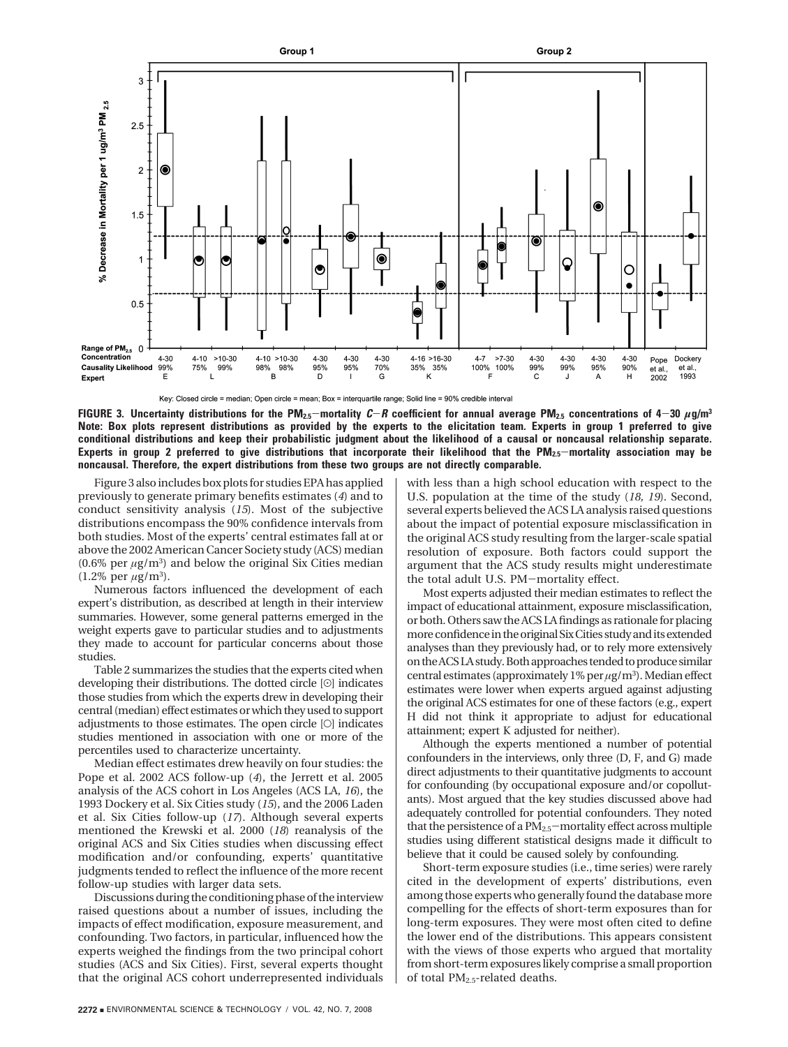

Key: Closed circle = median; Open circle = mean; Box = interquartile range; Solid line = 90% credible interval

**FIGURE 3. Uncertainty distributions for the PM<sub>2.5</sub>-mortality**  $C-R$  **coefficient for annual average PM<sub>2.5</sub> concentrations of 4-30**  $\mu$ **g/m<sup>3</sup> Note: Box plots represent distributions as provided by the experts to the elicitation team. Experts in group 1 preferred to give conditional distributions and keep their probabilistic judgment about the likelihood of a causal or noncausal relationship separate. Experts in group 2 preferred to give distributions that incorporate their likelihood that the PM2.5**-**mortality association may be noncausal. Therefore, the expert distributions from these two groups are not directly comparable.**

Figure 3 also includes box plots for studies EPA has applied previously to generate primary benefits estimates (*4*) and to conduct sensitivity analysis (*15*). Most of the subjective distributions encompass the 90% confidence intervals from both studies. Most of the experts' central estimates fall at or above the 2002 American Cancer Society study (ACS) median  $(0.6\%$  per  $\mu$ g/m<sup>3</sup>) and below the original Six Cities median  $(1.2\%$  per  $\mu$ g/m<sup>3</sup>).

Numerous factors influenced the development of each expert's distribution, as described at length in their interview summaries. However, some general patterns emerged in the weight experts gave to particular studies and to adjustments they made to account for particular concerns about those studies.

Table 2 summarizes the studies that the experts cited when developing their distributions. The dotted circle  $[ $\odot$ ] indicates$ those studies from which the experts drew in developing their central (median) effect estimates or which they used to support adjustments to those estimates. The open circle [O] indicates studies mentioned in association with one or more of the percentiles used to characterize uncertainty.

Median effect estimates drew heavily on four studies: the Pope et al. 2002 ACS follow-up (*4*), the Jerrett et al. 2005 analysis of the ACS cohort in Los Angeles (ACS LA, *16*), the 1993 Dockery et al. Six Cities study (*15*), and the 2006 Laden et al. Six Cities follow-up (*17*). Although several experts mentioned the Krewski et al. 2000 (*18*) reanalysis of the original ACS and Six Cities studies when discussing effect modification and/or confounding, experts' quantitative judgments tended to reflect the influence of the more recent follow-up studies with larger data sets.

Discussions during the conditioning phase of the interview raised questions about a number of issues, including the impacts of effect modification, exposure measurement, and confounding. Two factors, in particular, influenced how the experts weighed the findings from the two principal cohort studies (ACS and Six Cities). First, several experts thought that the original ACS cohort underrepresented individuals

with less than a high school education with respect to the U.S. population at the time of the study (*18, 19*). Second, several experts believed the ACS LA analysis raised questions about the impact of potential exposure misclassification in the original ACS study resulting from the larger-scale spatial resolution of exposure. Both factors could support the argument that the ACS study results might underestimate the total adult U.S. PM-mortality effect.

Most experts adjusted their median estimates to reflect the impact of educational attainment, exposure misclassification, or both. Others saw the ACS LA findings as rationale for placing more confidence in the original Six Cities study and its extended analyses than they previously had, or to rely more extensively on the ACS LA study. Both approaches tended to produce similar central estimates (approximately 1% per *µ*g/m3). Median effect estimates were lower when experts argued against adjusting the original ACS estimates for one of these factors (e.g., expert H did not think it appropriate to adjust for educational attainment; expert K adjusted for neither).

Although the experts mentioned a number of potential confounders in the interviews, only three (D, F, and G) made direct adjustments to their quantitative judgments to account for confounding (by occupational exposure and/or copollutants). Most argued that the key studies discussed above had adequately controlled for potential confounders. They noted that the persistence of a  $PM_{2.5}$ -mortality effect across multiple studies using different statistical designs made it difficult to believe that it could be caused solely by confounding.

Short-term exposure studies (i.e., time series) were rarely cited in the development of experts' distributions, even among those experts who generally found the database more compelling for the effects of short-term exposures than for long-term exposures. They were most often cited to define the lower end of the distributions. This appears consistent with the views of those experts who argued that mortality from short-term exposures likely comprise a small proportion of total PM2.5-related deaths.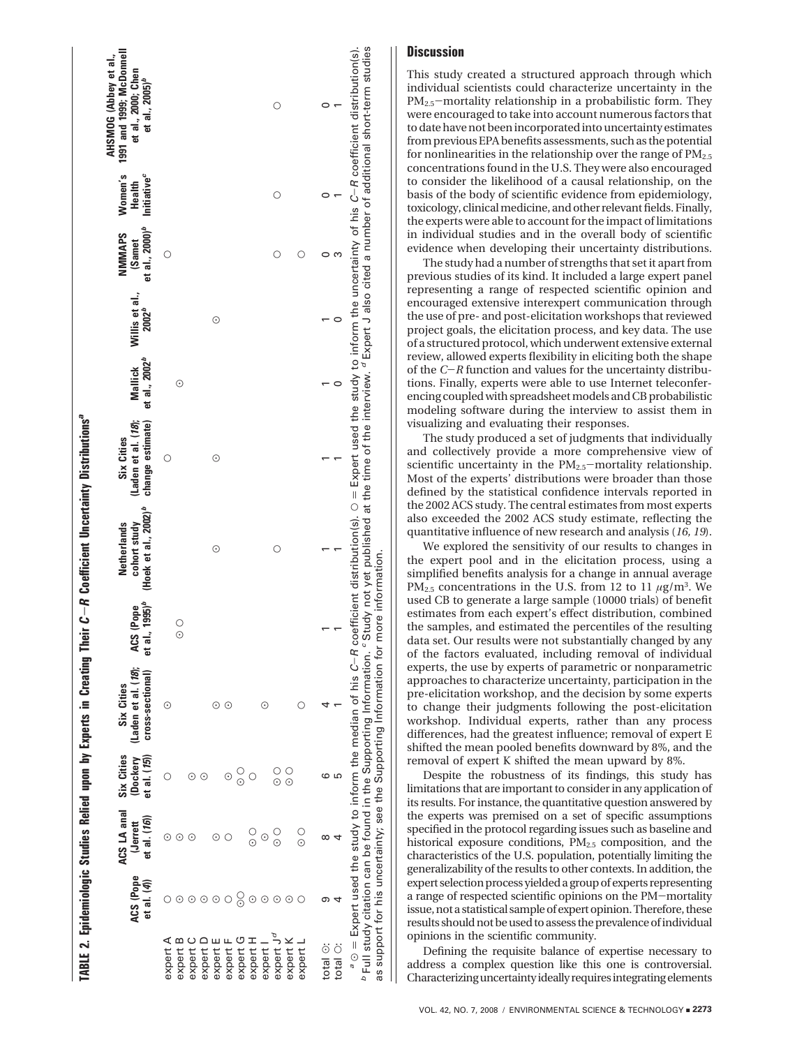|                       | ACS (Pope<br>et al. $(4)$ | ACS LA anal<br>et al. ( <i>16</i> )<br><b>Jerrett</b> | et al. ( <i>15</i> )<br>Six Cities<br>(Dockery | (Laden et al. (18);<br>cross-sectional)<br>Six Cities | et al., $1995)^b$<br>ACS (Pope | (Hoek et al., 2002) <sup>b</sup><br>cohort study<br><b>Netherlands</b> | (Laden et al. (18);<br>change estimate)<br><b>Six Cities</b> | et al., $2002^b$<br>Mallick | Willis et al.,<br>2002" | et al., $2000)^b$<br>NMMAPS<br>(Samet | <b>Initiative</b> <sup>c</sup><br>Women's<br>Health | 1991 and 1999; McDonnell<br>AHSMOG (Abbey et al.,<br>et al., 2000; Chen<br>et al., 2005) <sup>p</sup> |
|-----------------------|---------------------------|-------------------------------------------------------|------------------------------------------------|-------------------------------------------------------|--------------------------------|------------------------------------------------------------------------|--------------------------------------------------------------|-----------------------------|-------------------------|---------------------------------------|-----------------------------------------------------|-------------------------------------------------------------------------------------------------------|
| expert A              |                           | $_{\odot}$                                            | О                                              | $\odot$                                               |                                |                                                                        | Ó                                                            |                             |                         | O                                     |                                                     |                                                                                                       |
| expert B              |                           | $_{\odot}$                                            |                                                |                                                       | $\circ$                        |                                                                        |                                                              | $\odot$                     |                         |                                       |                                                     |                                                                                                       |
| expert C              | $\odot$                   | ⊙                                                     | $\odot$                                        |                                                       |                                |                                                                        |                                                              |                             |                         |                                       |                                                     |                                                                                                       |
| expert L              | $\odot$                   |                                                       | $\odot$                                        |                                                       |                                |                                                                        |                                                              |                             |                         |                                       |                                                     |                                                                                                       |
| expert E              | $\odot$                   |                                                       |                                                | $_{\odot}$                                            |                                | $\odot$                                                                | $\odot$                                                      |                             | $_{\odot}$              |                                       |                                                     |                                                                                                       |
| expert F              |                           |                                                       |                                                | $\odot$                                               |                                |                                                                        |                                                              |                             |                         |                                       |                                                     |                                                                                                       |
| expert G              | $\frac{\circ}{\circ}$     |                                                       | $\circ$                                        |                                                       |                                |                                                                        |                                                              |                             |                         |                                       |                                                     |                                                                                                       |
| expert H              | $_{\odot}$                | $\frac{0}{0}$                                         |                                                |                                                       |                                |                                                                        |                                                              |                             |                         |                                       |                                                     |                                                                                                       |
| expert I              | $\odot$                   | $\odot$                                               |                                                | ⊙                                                     |                                |                                                                        |                                                              |                             |                         |                                       |                                                     |                                                                                                       |
| expert J <sup>d</sup> | $\odot$                   | $\frac{\circ}{\circ}$                                 | $\circ$                                        |                                                       |                                | О                                                                      |                                                              |                             |                         | О                                     | О                                                   | О                                                                                                     |
| expert K              | $_{\odot}$                |                                                       | $\rm\tilde{\odot}$                             |                                                       |                                |                                                                        |                                                              |                             |                         |                                       |                                                     |                                                                                                       |
| expert I              |                           | $\frac{0}{0}$                                         |                                                | О                                                     |                                |                                                                        |                                                              |                             |                         | Ο                                     |                                                     |                                                                                                       |
| total $\odot$ :       | თ                         | ∞                                                     | ဖ                                              |                                                       |                                |                                                                        |                                                              |                             |                         |                                       |                                                     | 0                                                                                                     |
| total O:              | 4                         |                                                       | 5                                              |                                                       |                                |                                                                        |                                                              |                             |                         |                                       |                                                     |                                                                                                       |

# **Discussion**

This study created a structured approach through which individual scientists could characterize uncertainty in the  $PM<sub>2.5</sub>$ -mortality relationship in a probabilistic form. They were encouraged to take into account numerous factors that to date have not been incorporated into uncertainty estimates from previous EPA benefits assessments, such as the potential for nonlinearities in the relationship over the range of  $PM_{2.5}$ concentrations found in the U.S. They were also encouraged to consider the likelihood of a causal relationship, on the basis of the body of scientific evidence from epidemiology, toxicology, clinical medicine, and other relevant fields. Finally, the experts were able to account for the impact of limitations in individual studies and in the overall body of scientific evidence when developing their uncertainty distributions.

The study had a number of strengths that set it apart from previous studies of its kind. It included a large expert panel representing a range of respected scientific opinion and encouraged extensive interexpert communication through the use of pre- and post-elicitation workshops that reviewed project goals, the elicitation process, and key data. The use of a structured protocol, which underwent extensive external review, allowed experts flexibility in eliciting both the shape of the *<sup>C</sup>*-*<sup>R</sup>* function and values for the uncertainty distributions. Finally, experts were able to use Internet teleconferencing coupled with spreadsheet models and CB probabilistic modeling software during the interview to assist them in visualizing and evaluating their responses.

The study produced a set of judgments that individually and collectively provide a more comprehensive view of scientific uncertainty in the  $PM_{2.5}$ -mortality relationship. Most of the experts' distributions were broader than those defined by the statistical confidence intervals reported in the 2002 ACS study. The central estimates from most experts also exceeded the 2002 ACS study estimate, reflecting the quantitative influence of new research and analysis (*16, 19*).

We explored the sensitivity of our results to changes in the expert pool and in the elicitation process, using a simplified benefits analysis for a change in annual average  $PM_{2.5}$  concentrations in the U.S. from 12 to 11  $\mu$ g/m<sup>3</sup>. We used CB to generate a large sample (10000 trials) of benefit estimates from each expert's effect distribution, combined the samples, and estimated the percentiles of the resulting data set. Our results were not substantially changed by any of the factors evaluated, including removal of individual experts, the use by experts of parametric or nonparametric approaches to characterize uncertainty, participation in the pre-elicitation workshop, and the decision by some experts to change their judgments following the post-elicitation workshop. Individual experts, rather than any process differences, had the greatest influence; removal of expert E shifted the mean pooled benefits downward by 8%, and the removal of expert K shifted the mean upward by 8%.

Despite the robustness of its findings, this study has limitations that are important to consider in any application of its results. For instance, the quantitative question answered by the experts was premised on a set of specific assumptions specified in the protocol regarding issues such as baseline and historical exposure conditions, PM2.5 composition, and the characteristics of the U.S. population, potentially limiting the generalizability of the results to other contexts. In addition, the expert selection process yielded a group of experts representing a range of respected scientific opinions on the PM-mortality issue, not a statistical sample of expert opinion. Therefore, these results should not be used to assess the prevalence of individual opinions in the scientific community.

Defining the requisite balance of expertise necessary to address a complex question like this one is controversial. Characterizing uncertainty ideally requires integrating elements